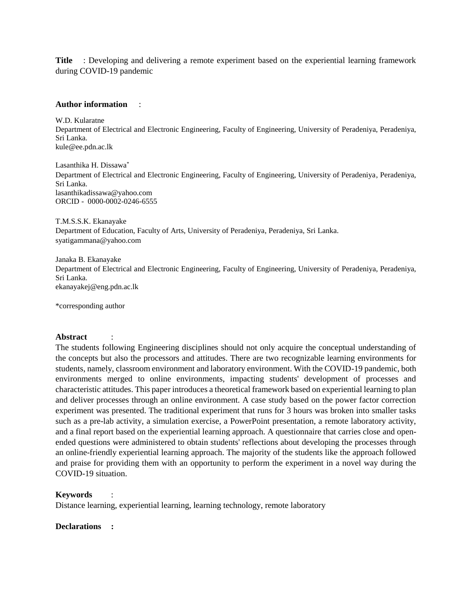**Title** : Developing and delivering a remote experiment based on the experiential learning framework during COVID-19 pandemic

#### **Author information** :

W.D. Kularatne Department of Electrical and Electronic Engineering, Faculty of Engineering, University of Peradeniya, Peradeniya, Sri Lanka. kule@ee.pdn.ac.lk

Lasanthika H. Dissawa\* Department of Electrical and Electronic Engineering, Faculty of Engineering, University of Peradeniya, Peradeniya, Sri Lanka. lasanthikadissawa@yahoo.com ORCID - 0000-0002-0246-6555

T.M.S.S.K. Ekanayake Department of Education, Faculty of Arts, University of Peradeniya, Peradeniya, Sri Lanka. syatigammana@yahoo.com

Janaka B. Ekanayake Department of Electrical and Electronic Engineering, Faculty of Engineering, University of Peradeniya, Peradeniya, Sri Lanka. ekanayakej@eng.pdn.ac.lk

\*corresponding author

#### **Abstract** :

The students following Engineering disciplines should not only acquire the conceptual understanding of the concepts but also the processors and attitudes. There are two recognizable learning environments for students, namely, classroom environment and laboratory environment. With the COVID-19 pandemic, both environments merged to online environments, impacting students' development of processes and characteristic attitudes. This paper introduces a theoretical framework based on experiential learning to plan and deliver processes through an online environment. A case study based on the power factor correction experiment was presented. The traditional experiment that runs for 3 hours was broken into smaller tasks such as a pre-lab activity, a simulation exercise, a PowerPoint presentation, a remote laboratory activity, and a final report based on the experiential learning approach. A questionnaire that carries close and openended questions were administered to obtain students' reflections about developing the processes through an online-friendly experiential learning approach. The majority of the students like the approach followed and praise for providing them with an opportunity to perform the experiment in a novel way during the COVID-19 situation.

#### **Keywords** :

Distance learning, experiential learning, learning technology, remote laboratory

#### **Declarations :**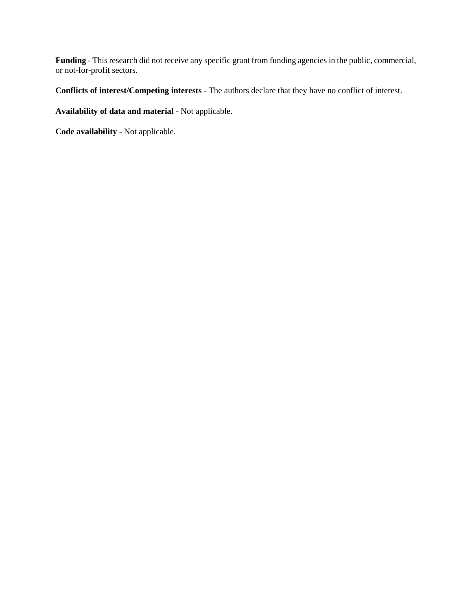**Funding** - This research did not receive any specific grant from funding agencies in the public, commercial, or not-for-profit sectors.

**Conflicts of interest/Competing interests** - The authors declare that they have no conflict of interest.

**Availability of data and material** - Not applicable.

**Code availability** - Not applicable.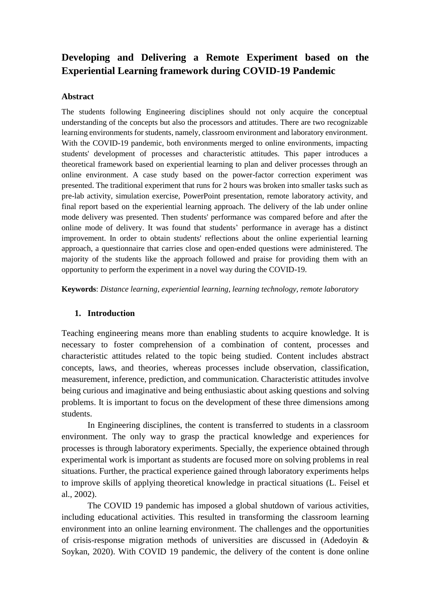# **Developing and Delivering a Remote Experiment based on the Experiential Learning framework during COVID-19 Pandemic**

#### **Abstract**

The students following Engineering disciplines should not only acquire the conceptual understanding of the concepts but also the processors and attitudes. There are two recognizable learning environments for students, namely, classroom environment and laboratory environment. With the COVID-19 pandemic, both environments merged to online environments, impacting students' development of processes and characteristic attitudes. This paper introduces a theoretical framework based on experiential learning to plan and deliver processes through an online environment. A case study based on the power-factor correction experiment was presented. The traditional experiment that runs for 2 hours was broken into smaller tasks such as pre-lab activity, simulation exercise, PowerPoint presentation, remote laboratory activity, and final report based on the experiential learning approach. The delivery of the lab under online mode delivery was presented. Then students' performance was compared before and after the online mode of delivery. It was found that students' performance in average has a distinct improvement. In order to obtain students' reflections about the online experiential learning approach, a questionnaire that carries close and open-ended questions were administered. The majority of the students like the approach followed and praise for providing them with an opportunity to perform the experiment in a novel way during the COVID-19.

**Keywords**: *Distance learning, experiential learning, learning technology, remote laboratory*

### **1. Introduction**

Teaching engineering means more than enabling students to acquire knowledge. It is necessary to foster comprehension of a combination of content, processes and characteristic attitudes related to the topic being studied. Content includes abstract concepts, laws, and theories, whereas processes include observation, classification, measurement, inference, prediction, and communication. Characteristic attitudes involve being curious and imaginative and being enthusiastic about asking questions and solving problems. It is important to focus on the development of these three dimensions among students.

In Engineering disciplines, the content is transferred to students in a classroom environment. The only way to grasp the practical knowledge and experiences for processes is through laboratory experiments. Specially, the experience obtained through experimental work is important as students are focused more on solving problems in real situations. Further, the practical experience gained through laboratory experiments helps to improve skills of applying theoretical knowledge in practical situations (L. Feisel et al., 2002).

The COVID 19 pandemic has imposed a global shutdown of various activities, including educational activities. This resulted in transforming the classroom learning environment into an online learning environment. The challenges and the opportunities of crisis-response migration methods of universities are discussed in (Adedoyin & Soykan, 2020). With COVID 19 pandemic, the delivery of the content is done online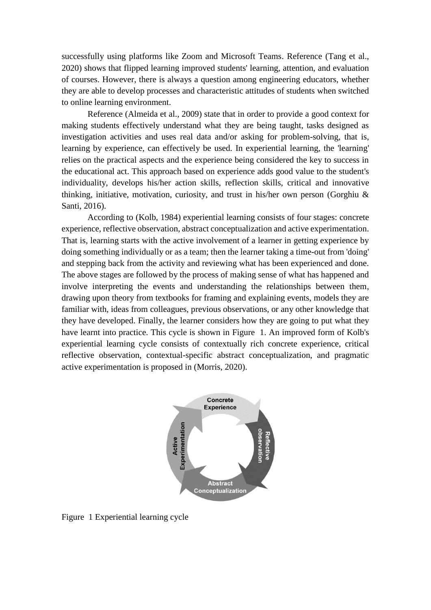successfully using platforms like Zoom and Microsoft Teams. Reference (Tang et al., 2020) shows that flipped learning improved students' learning, attention, and evaluation of courses. However, there is always a question among engineering educators, whether they are able to develop processes and characteristic attitudes of students when switched to online learning environment.

Reference (Almeida et al., 2009) state that in order to provide a good context for making students effectively understand what they are being taught, tasks designed as investigation activities and uses real data and/or asking for problem-solving, that is, learning by experience, can effectively be used. In experiential learning, the 'learning' relies on the practical aspects and the experience being considered the key to success in the educational act. This approach based on experience adds good value to the student's individuality, develops his/her action skills, reflection skills, critical and innovative thinking, initiative, motivation, curiosity, and trust in his/her own person (Gorghiu & Santi, 2016).

According to (Kolb, 1984) experiential learning consists of four stages: concrete experience, reflective observation, abstract conceptualization and active experimentation. That is, learning starts with the active involvement of a learner in getting experience by doing something individually or as a team; then the learner taking a time-out from 'doing' and stepping back from the activity and reviewing what has been experienced and done. The above stages are followed by the process of making sense of what has happened and involve interpreting the events and understanding the relationships between them, drawing upon theory from textbooks for framing and explaining events, models they are familiar with, ideas from colleagues, previous observations, or any other knowledge that they have developed. Finally, the learner considers how they are going to put what they have learnt into practice. This cycle is shown in [Figure 1.](#page-3-0) An improved form of Kolb's experiential learning cycle consists of contextually rich concrete experience, critical reflective observation, contextual-specific abstract conceptualization, and pragmatic active experimentation is proposed in (Morris, 2020).



<span id="page-3-0"></span>Figure 1 Experiential learning cycle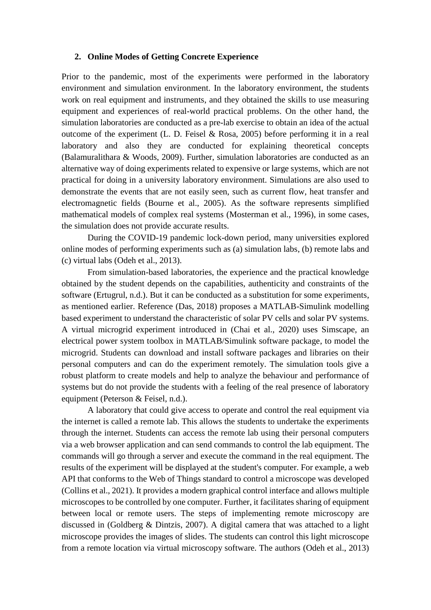#### **2. Online Modes of Getting Concrete Experience**

Prior to the pandemic, most of the experiments were performed in the laboratory environment and simulation environment. In the laboratory environment, the students work on real equipment and instruments, and they obtained the skills to use measuring equipment and experiences of real-world practical problems. On the other hand, the simulation laboratories are conducted as a pre-lab exercise to obtain an idea of the actual outcome of the experiment (L. D. Feisel & Rosa, 2005) before performing it in a real laboratory and also they are conducted for explaining theoretical concepts (Balamuralithara & Woods, 2009). Further, simulation laboratories are conducted as an alternative way of doing experiments related to expensive or large systems, which are not practical for doing in a university laboratory environment. Simulations are also used to demonstrate the events that are not easily seen, such as current flow, heat transfer and electromagnetic fields (Bourne et al., 2005). As the software represents simplified mathematical models of complex real systems (Mosterman et al., 1996), in some cases, the simulation does not provide accurate results.

During the COVID-19 pandemic lock-down period, many universities explored online modes of performing experiments such as (a) simulation labs, (b) remote labs and (c) virtual labs (Odeh et al., 2013).

From simulation-based laboratories, the experience and the practical knowledge obtained by the student depends on the capabilities, authenticity and constraints of the software (Ertugrul, n.d.). But it can be conducted as a substitution for some experiments, as mentioned earlier. Reference (Das, 2018) proposes a MATLAB-Simulink modelling based experiment to understand the characteristic of solar PV cells and solar PV systems. A virtual microgrid experiment introduced in (Chai et al., 2020) uses Simscape, an electrical power system toolbox in MATLAB/Simulink software package, to model the microgrid. Students can download and install software packages and libraries on their personal computers and can do the experiment remotely. The simulation tools give a robust platform to create models and help to analyze the behaviour and performance of systems but do not provide the students with a feeling of the real presence of laboratory equipment (Peterson & Feisel, n.d.).

A laboratory that could give access to operate and control the real equipment via the internet is called a remote lab. This allows the students to undertake the experiments through the internet. Students can access the remote lab using their personal computers via a web browser application and can send commands to control the lab equipment. The commands will go through a server and execute the command in the real equipment. The results of the experiment will be displayed at the student's computer. For example, a web API that conforms to the Web of Things standard to control a microscope was developed (Collins et al., 2021). It provides a modern graphical control interface and allows multiple microscopes to be controlled by one computer. Further, it facilitates sharing of equipment between local or remote users. The steps of implementing remote microscopy are discussed in (Goldberg & Dintzis, 2007). A digital camera that was attached to a light microscope provides the images of slides. The students can control this light microscope from a remote location via virtual microscopy software. The authors (Odeh et al., 2013)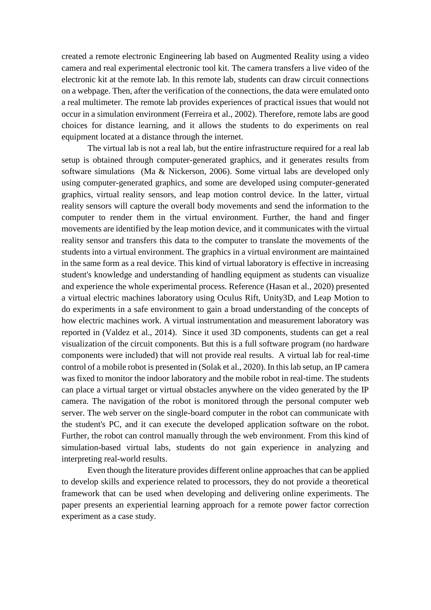created a remote electronic Engineering lab based on Augmented Reality using a video camera and real experimental electronic tool kit. The camera transfers a live video of the electronic kit at the remote lab. In this remote lab, students can draw circuit connections on a webpage. Then, after the verification of the connections, the data were emulated onto a real multimeter. The remote lab provides experiences of practical issues that would not occur in a simulation environment (Ferreira et al., 2002). Therefore, remote labs are good choices for distance learning, and it allows the students to do experiments on real equipment located at a distance through the internet.

The virtual lab is not a real lab, but the entire infrastructure required for a real lab setup is obtained through computer-generated graphics, and it generates results from software simulations (Ma & Nickerson, 2006). Some virtual labs are developed only using computer-generated graphics, and some are developed using computer-generated graphics, virtual reality sensors, and leap motion control device. In the latter, virtual reality sensors will capture the overall body movements and send the information to the computer to render them in the virtual environment. Further, the hand and finger movements are identified by the leap motion device, and it communicates with the virtual reality sensor and transfers this data to the computer to translate the movements of the students into a virtual environment. The graphics in a virtual environment are maintained in the same form as a real device. This kind of virtual laboratory is effective in increasing student's knowledge and understanding of handling equipment as students can visualize and experience the whole experimental process. Reference (Hasan et al., 2020) presented a virtual electric machines laboratory using Oculus Rift, Unity3D, and Leap Motion to do experiments in a safe environment to gain a broad understanding of the concepts of how electric machines work. A virtual instrumentation and measurement laboratory was reported in (Valdez et al., 2014). Since it used 3D components, students can get a real visualization of the circuit components. But this is a full software program (no hardware components were included) that will not provide real results. A virtual lab for real-time control of a mobile robot is presented in (Solak et al., 2020). In this lab setup, an IP camera was fixed to monitor the indoor laboratory and the mobile robot in real-time. The students can place a virtual target or virtual obstacles anywhere on the video generated by the IP camera. The navigation of the robot is monitored through the personal computer web server. The web server on the single-board computer in the robot can communicate with the student's PC, and it can execute the developed application software on the robot. Further, the robot can control manually through the web environment. From this kind of simulation-based virtual labs, students do not gain experience in analyzing and interpreting real-world results.

Even though the literature provides different online approaches that can be applied to develop skills and experience related to processors, they do not provide a theoretical framework that can be used when developing and delivering online experiments. The paper presents an experiential learning approach for a remote power factor correction experiment as a case study.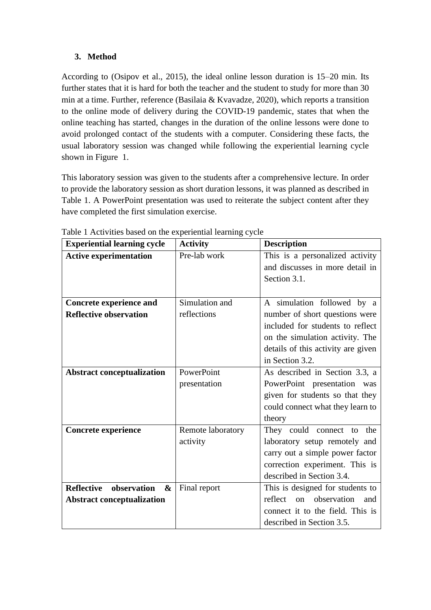# **3. Method**

According to (Osipov et al., 2015), the ideal online lesson duration is 15–20 min. Its further states that it is hard for both the teacher and the student to study for more than 30 min at a time. Further, reference (Basilaia & Kvavadze, 2020), which reports a transition to the online mode of delivery during the COVID-19 pandemic, states that when the online teaching has started, changes in the duration of the online lessons were done to avoid prolonged contact of the students with a computer. Considering these facts, the usual laboratory session was changed while following the experiential learning cycle shown in [Figure 1.](#page-3-0)

This laboratory session was given to the students after a comprehensive lecture. In order to provide the laboratory session as short duration lessons, it was planned as described in Table 1. A PowerPoint presentation was used to reiterate the subject content after they have completed the first simulation exercise.

| <b>Experiential learning cycle</b>    | <b>Activity</b>   | <b>Description</b>                                            |  |  |  |
|---------------------------------------|-------------------|---------------------------------------------------------------|--|--|--|
| <b>Active experimentation</b>         | Pre-lab work      | This is a personalized activity                               |  |  |  |
|                                       |                   | and discusses in more detail in                               |  |  |  |
|                                       |                   | Section 3.1.                                                  |  |  |  |
|                                       |                   |                                                               |  |  |  |
| <b>Concrete experience and</b>        | Simulation and    | A simulation followed by a                                    |  |  |  |
| <b>Reflective observation</b>         | reflections       | number of short questions were                                |  |  |  |
|                                       |                   | included for students to reflect                              |  |  |  |
|                                       |                   | on the simulation activity. The                               |  |  |  |
|                                       |                   | details of this activity are given                            |  |  |  |
|                                       |                   | in Section 3.2.                                               |  |  |  |
| <b>Abstract conceptualization</b>     | PowerPoint        | As described in Section 3.3, a<br>PowerPoint presentation was |  |  |  |
|                                       | presentation      |                                                               |  |  |  |
|                                       |                   | given for students so that they                               |  |  |  |
|                                       |                   | could connect what they learn to                              |  |  |  |
|                                       |                   | theory                                                        |  |  |  |
| Concrete experience                   | Remote laboratory | They could connect to<br>the                                  |  |  |  |
|                                       | activity          | laboratory setup remotely and                                 |  |  |  |
|                                       |                   | carry out a simple power factor                               |  |  |  |
|                                       |                   | correction experiment. This is                                |  |  |  |
|                                       |                   | described in Section 3.4.                                     |  |  |  |
| <b>Reflective</b><br>observation<br>& | Final report      | This is designed for students to                              |  |  |  |
| <b>Abstract conceptualization</b>     |                   | on observation<br>reflect<br>and                              |  |  |  |
|                                       |                   | connect it to the field. This is                              |  |  |  |
|                                       |                   | described in Section 3.5.                                     |  |  |  |

Table 1 Activities based on the experiential learning cycle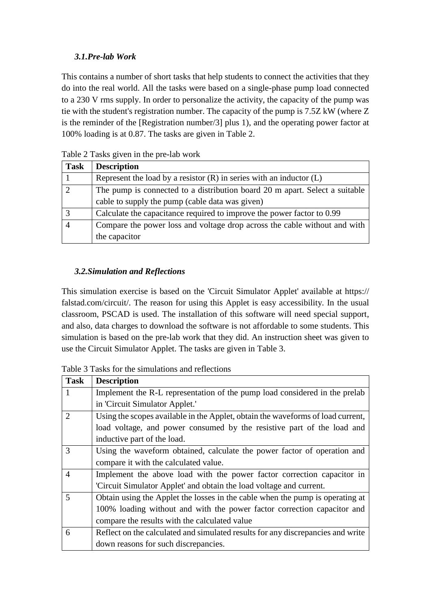# *3.1.Pre-lab Work*

This contains a number of short tasks that help students to connect the activities that they do into the real world. All the tasks were based on a single-phase pump load connected to a 230 V rms supply. In order to personalize the activity, the capacity of the pump was tie with the student's registration number. The capacity of the pump is 7.5Z kW (where Z is the reminder of the [Registration number/3] plus 1), and the operating power factor at 100% loading is at 0.87. The tasks are given in Table 2.

| <b>Task</b> | <b>Description</b>                                                          |
|-------------|-----------------------------------------------------------------------------|
|             | Represent the load by a resistor $(R)$ in series with an inductor $(L)$     |
| $\gamma$    | The pump is connected to a distribution board 20 m apart. Select a suitable |
|             | cable to supply the pump (cable data was given)                             |
|             | Calculate the capacitance required to improve the power factor to 0.99      |
|             | Compare the power loss and voltage drop across the cable without and with   |
|             | the capacitor                                                               |

Table 2 Tasks given in the pre-lab work

# *3.2.Simulation and Reflections*

This simulation exercise is based on the 'Circuit Simulator Applet' available at https:// falstad.com/circuit/. The reason for using this Applet is easy accessibility. In the usual classroom, PSCAD is used. The installation of this software will need special support, and also, data charges to download the software is not affordable to some students. This simulation is based on the pre-lab work that they did. An instruction sheet was given to use the Circuit Simulator Applet. The tasks are given in Table 3.

| <b>Task</b>           | <b>Description</b>                                                              |  |  |  |
|-----------------------|---------------------------------------------------------------------------------|--|--|--|
|                       | Implement the R-L representation of the pump load considered in the prelab      |  |  |  |
|                       | in 'Circuit Simulator Applet.'                                                  |  |  |  |
| $\mathcal{D}_{\cdot}$ | Using the scopes available in the Applet, obtain the waveforms of load current, |  |  |  |
|                       | load voltage, and power consumed by the resistive part of the load and          |  |  |  |
|                       | inductive part of the load.                                                     |  |  |  |
| 3                     | Using the waveform obtained, calculate the power factor of operation and        |  |  |  |
|                       | compare it with the calculated value.                                           |  |  |  |
| $\overline{A}$        | Implement the above load with the power factor correction capacitor in          |  |  |  |
|                       | 'Circuit Simulator Applet' and obtain the load voltage and current.             |  |  |  |
| 5                     | Obtain using the Applet the losses in the cable when the pump is operating at   |  |  |  |
|                       | 100% loading without and with the power factor correction capacitor and         |  |  |  |
|                       | compare the results with the calculated value                                   |  |  |  |
| 6                     | Reflect on the calculated and simulated results for any discrepancies and write |  |  |  |
|                       | down reasons for such discrepancies.                                            |  |  |  |

Table 3 Tasks for the simulations and reflections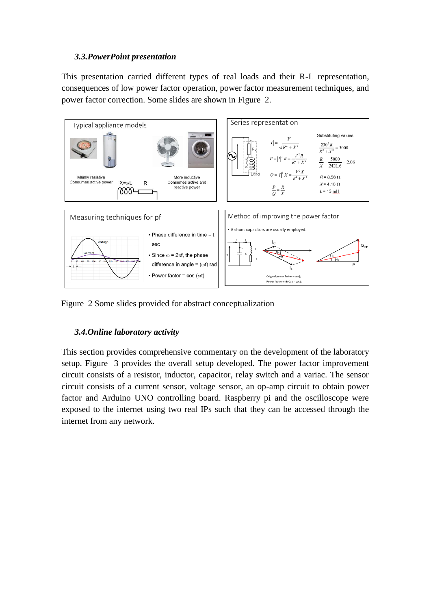### *3.3.PowerPoint presentation*

This presentation carried different types of real loads and their R-L representation, consequences of low power factor operation, power factor measurement techniques, and power factor correction. Some slides are shown in [Figure 2.](#page-8-0)



<span id="page-8-0"></span>Figure 2 Some slides provided for abstract conceptualization

### *3.4.Online laboratory activity*

This section provides comprehensive commentary on the development of the laboratory setup. [Figure 3](#page-9-0) provides the overall setup developed. The power factor improvement circuit consists of a resistor, inductor, capacitor, relay switch and a variac. The sensor circuit consists of a current sensor, voltage sensor, an op-amp circuit to obtain power factor and Arduino UNO controlling board. Raspberry pi and the oscilloscope were exposed to the internet using two real IPs such that they can be accessed through the internet from any network.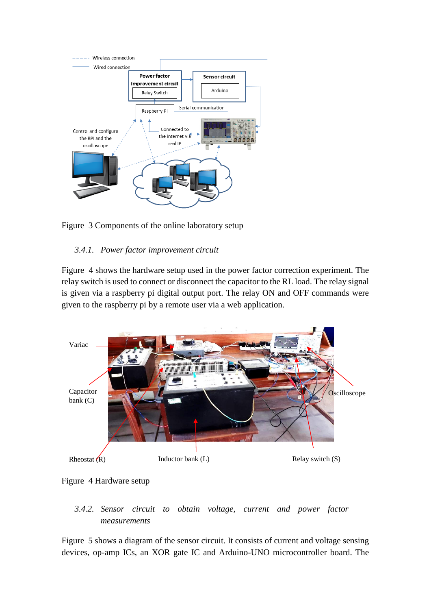

<span id="page-9-0"></span>Figure 3 Components of the online laboratory setup

# *3.4.1. Power factor improvement circuit*

[Figure 4](#page-9-1) shows the hardware setup used in the power factor correction experiment. The relay switch is used to connect or disconnect the capacitor to the RL load. The relay signal is given via a raspberry pi digital output port. The relay ON and OFF commands were given to the raspberry pi by a remote user via a web application.



<span id="page-9-1"></span>

# *3.4.2. Sensor circuit to obtain voltage, current and power factor measurements*

[Figure 5](#page-10-0) shows a diagram of the sensor circuit. It consists of current and voltage sensing devices, op-amp ICs, an XOR gate IC and Arduino-UNO microcontroller board. The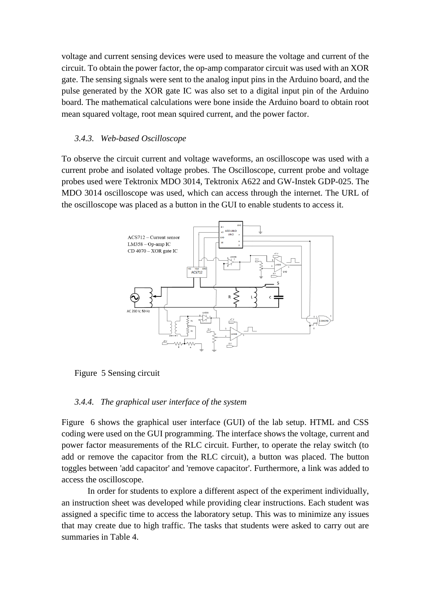voltage and current sensing devices were used to measure the voltage and current of the circuit. To obtain the power factor, the op-amp comparator circuit was used with an XOR gate. The sensing signals were sent to the analog input pins in the Arduino board, and the pulse generated by the XOR gate IC was also set to a digital input pin of the Arduino board. The mathematical calculations were bone inside the Arduino board to obtain root mean squared voltage, root mean squired current, and the power factor.

#### *3.4.3. Web-based Oscilloscope*

To observe the circuit current and voltage waveforms, an oscilloscope was used with a current probe and isolated voltage probes. The Oscilloscope, current probe and voltage probes used were Tektronix MDO 3014, Tektronix A622 and GW-Instek GDP-025. The MDO 3014 oscilloscope was used, which can access through the internet. The URL of the oscilloscope was placed as a button in the GUI to enable students to access it.



<span id="page-10-0"></span>Figure 5 Sensing circuit

#### *3.4.4. The graphical user interface of the system*

[Figure 6](#page-11-0) shows the graphical user interface (GUI) of the lab setup. HTML and CSS coding were used on the GUI programming. The interface shows the voltage, current and power factor measurements of the RLC circuit. Further, to operate the relay switch (to add or remove the capacitor from the RLC circuit), a button was placed. The button toggles between 'add capacitor' and 'remove capacitor'. Furthermore, a link was added to access the oscilloscope.

In order for students to explore a different aspect of the experiment individually, an instruction sheet was developed while providing clear instructions. Each student was assigned a specific time to access the laboratory setup. This was to minimize any issues that may create due to high traffic. The tasks that students were asked to carry out are summaries in Table 4.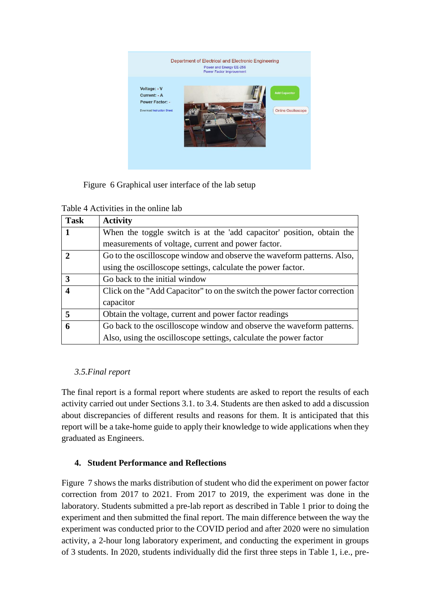

<span id="page-11-0"></span>Figure 6 Graphical user interface of the lab setup

Table 4 Activities in the online lab

| <b>Task</b> | <b>Activity</b>                                                           |  |  |  |
|-------------|---------------------------------------------------------------------------|--|--|--|
|             | When the toggle switch is at the 'add capacitor' position, obtain the     |  |  |  |
|             | measurements of voltage, current and power factor.                        |  |  |  |
|             | Go to the oscilloscope window and observe the waveform patterns. Also,    |  |  |  |
|             | using the oscilloscope settings, calculate the power factor.              |  |  |  |
| 3           | Go back to the initial window                                             |  |  |  |
|             | Click on the "Add Capacitor" to on the switch the power factor correction |  |  |  |
|             | capacitor                                                                 |  |  |  |
| 5           | Obtain the voltage, current and power factor readings                     |  |  |  |
| 6           | Go back to the oscilloscope window and observe the waveform patterns.     |  |  |  |
|             | Also, using the oscilloscope settings, calculate the power factor         |  |  |  |

# *3.5.Final report*

The final report is a formal report where students are asked to report the results of each activity carried out under Sections 3.1. to 3.4. Students are then asked to add a discussion about discrepancies of different results and reasons for them. It is anticipated that this report will be a take-home guide to apply their knowledge to wide applications when they graduated as Engineers.

# **4. Student Performance and Reflections**

[Figure 7](#page-12-0) shows the marks distribution of student who did the experiment on power factor correction from 2017 to 2021. From 2017 to 2019, the experiment was done in the laboratory. Students submitted a pre-lab report as described in Table 1 prior to doing the experiment and then submitted the final report. The main difference between the way the experiment was conducted prior to the COVID period and after 2020 were no simulation activity, a 2-hour long laboratory experiment, and conducting the experiment in groups of 3 students. In 2020, students individually did the first three steps in Table 1, i.e., pre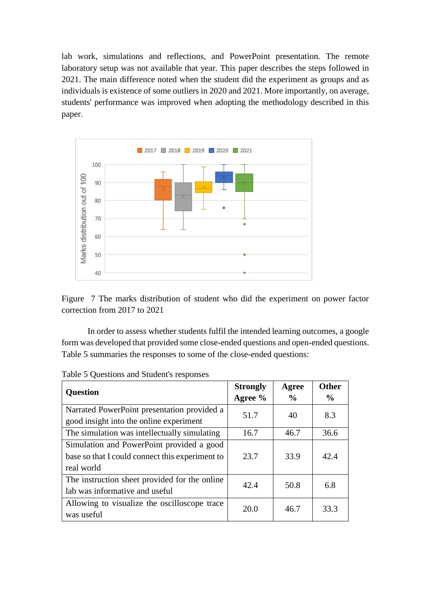lab work, simulations and reflections, and PowerPoint presentation. The remote laboratory setup was not available that year. This paper describes the steps followed in 2021. The main difference noted when the student did the experiment as groups and as individuals is existence of some outliers in 2020 and 2021. More importantly, on average, students' performance was improved when adopting the methodology described in this paper.



<span id="page-12-0"></span>Figure 7 The marks distribution of student who did the experiment on power factor correction from 2017 to 2021

In order to assess whether students fulfil the intended learning outcomes, a google form was developed that provided some close-ended questions and open-ended questions. Table 5 summaries the responses to some of the close-ended questions:

| <b>Question</b>                                       | <b>Strongly</b> | Agree         | <b>Other</b>  |
|-------------------------------------------------------|-----------------|---------------|---------------|
|                                                       | Agree %         | $\frac{0}{0}$ | $\frac{0}{0}$ |
| Narrated PowerPoint presentation provided a           | 51.7            | 40            | 8.3           |
| good insight into the online experiment               |                 |               |               |
| The simulation was intellectually simulating          | 16.7            | 46.7          | 36.6          |
| Simulation and PowerPoint provided a good             |                 |               |               |
| base so that I could connect this experiment to       | 23.7            | 33.9          | 42.4          |
| real world                                            |                 |               |               |
| The instruction sheet provided for the online<br>42.4 |                 | 50.8          | 6.8           |
| lab was informative and useful                        |                 |               |               |
| Allowing to visualize the oscilloscope trace          | 20.0            | 46.7          | 33.3          |
| was useful                                            |                 |               |               |

Table 5 Questions and Student's responses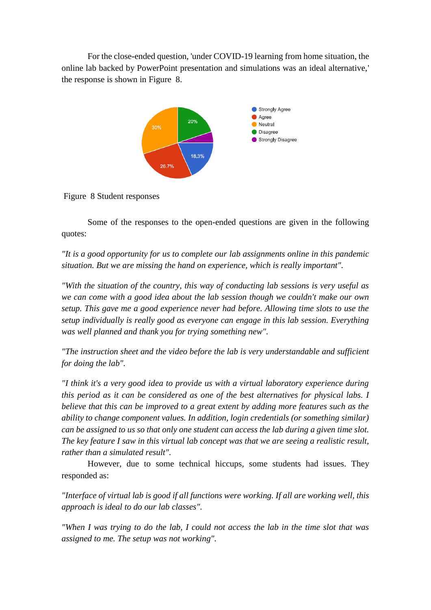For the close-ended question, 'under COVID-19 learning from home situation, the online lab backed by PowerPoint presentation and simulations was an ideal alternative,' the response is shown in [Figure 8.](#page-13-0)



<span id="page-13-0"></span>Figure 8 Student responses

Some of the responses to the open-ended questions are given in the following quotes:

*"It is a good opportunity for us to complete our lab assignments online in this pandemic situation. But we are missing the hand on experience, which is really important".*

*"With the situation of the country, this way of conducting lab sessions is very useful as we can come with a good idea about the lab session though we couldn't make our own setup. This gave me a good experience never had before. Allowing time slots to use the setup individually is really good as everyone can engage in this lab session. Everything was well planned and thank you for trying something new".*

*"The instruction sheet and the video before the lab is very understandable and sufficient for doing the lab".*

*"I think it's a very good idea to provide us with a virtual laboratory experience during this period as it can be considered as one of the best alternatives for physical labs. I believe that this can be improved to a great extent by adding more features such as the ability to change component values. In addition, login credentials (or something similar) can be assigned to us so that only one student can access the lab during a given time slot. The key feature I saw in this virtual lab concept was that we are seeing a realistic result, rather than a simulated result".*

However, due to some technical hiccups, some students had issues. They responded as:

*"Interface of virtual lab is good if all functions were working. If all are working well, this approach is ideal to do our lab classes".*

*"When I was trying to do the lab, I could not access the lab in the time slot that was assigned to me. The setup was not working".*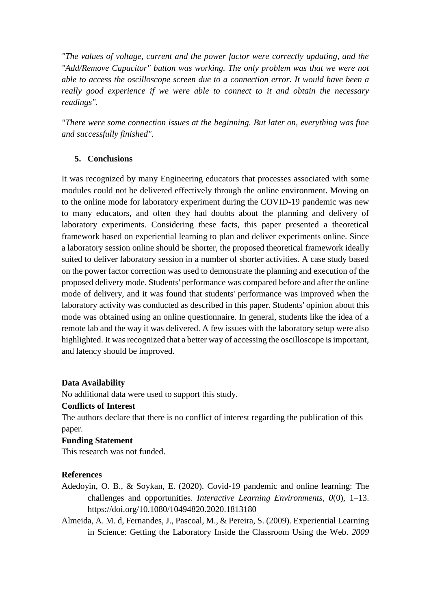*"The values of voltage, current and the power factor were correctly updating, and the "Add/Remove Capacitor" button was working. The only problem was that we were not able to access the oscilloscope screen due to a connection error. It would have been a really good experience if we were able to connect to it and obtain the necessary readings".*

*"There were some connection issues at the beginning. But later on, everything was fine and successfully finished".*

# **5. Conclusions**

It was recognized by many Engineering educators that processes associated with some modules could not be delivered effectively through the online environment. Moving on to the online mode for laboratory experiment during the COVID-19 pandemic was new to many educators, and often they had doubts about the planning and delivery of laboratory experiments. Considering these facts, this paper presented a theoretical framework based on experiential learning to plan and deliver experiments online. Since a laboratory session online should be shorter, the proposed theoretical framework ideally suited to deliver laboratory session in a number of shorter activities. A case study based on the power factor correction was used to demonstrate the planning and execution of the proposed delivery mode. Students' performance was compared before and after the online mode of delivery, and it was found that students' performance was improved when the laboratory activity was conducted as described in this paper. Students' opinion about this mode was obtained using an online questionnaire. In general, students like the idea of a remote lab and the way it was delivered. A few issues with the laboratory setup were also highlighted. It was recognized that a better way of accessing the oscilloscope is important, and latency should be improved.

### **Data Availability**

No additional data were used to support this study.

### **Conflicts of Interest**

The authors declare that there is no conflict of interest regarding the publication of this paper.

### **Funding Statement**

This research was not funded.

### **References**

- Adedoyin, O. B., & Soykan, E. (2020). Covid-19 pandemic and online learning: The challenges and opportunities. *Interactive Learning Environments*, *0*(0), 1–13. https://doi.org/10.1080/10494820.2020.1813180
- Almeida, A. M. d, Fernandes, J., Pascoal, M., & Pereira, S. (2009). Experiential Learning in Science: Getting the Laboratory Inside the Classroom Using the Web. *2009*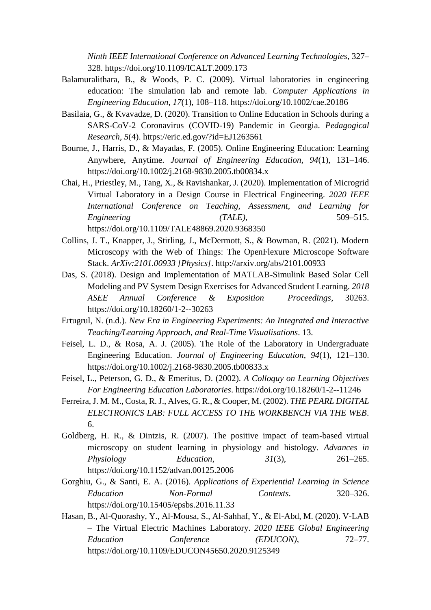*Ninth IEEE International Conference on Advanced Learning Technologies*, 327– 328. https://doi.org/10.1109/ICALT.2009.173

- Balamuralithara, B., & Woods, P. C. (2009). Virtual laboratories in engineering education: The simulation lab and remote lab. *Computer Applications in Engineering Education*, *17*(1), 108–118. https://doi.org/10.1002/cae.20186
- Basilaia, G., & Kvavadze, D. (2020). Transition to Online Education in Schools during a SARS-CoV-2 Coronavirus (COVID-19) Pandemic in Georgia. *Pedagogical Research*, *5*(4). https://eric.ed.gov/?id=EJ1263561
- Bourne, J., Harris, D., & Mayadas, F. (2005). Online Engineering Education: Learning Anywhere, Anytime. *Journal of Engineering Education*, *94*(1), 131–146. https://doi.org/10.1002/j.2168-9830.2005.tb00834.x
- Chai, H., Priestley, M., Tang, X., & Ravishankar, J. (2020). Implementation of Microgrid Virtual Laboratory in a Design Course in Electrical Engineering. *2020 IEEE International Conference on Teaching, Assessment, and Learning for Engineering (TALE)*, 509–515. https://doi.org/10.1109/TALE48869.2020.9368350
- Collins, J. T., Knapper, J., Stirling, J., McDermott, S., & Bowman, R. (2021). Modern Microscopy with the Web of Things: The OpenFlexure Microscope Software Stack. *ArXiv:2101.00933 [Physics]*. http://arxiv.org/abs/2101.00933
- Das, S. (2018). Design and Implementation of MATLAB-Simulink Based Solar Cell Modeling and PV System Design Exercises for Advanced Student Learning. *2018 ASEE Annual Conference & Exposition Proceedings*, 30263. https://doi.org/10.18260/1-2--30263
- Ertugrul, N. (n.d.). *New Era in Engineering Experiments: An Integrated and Interactive Teaching/Learning Approach, and Real-Time Visualisations*. 13.
- Feisel, L. D., & Rosa, A. J. (2005). The Role of the Laboratory in Undergraduate Engineering Education. *Journal of Engineering Education*, *94*(1), 121–130. https://doi.org/10.1002/j.2168-9830.2005.tb00833.x
- Feisel, L., Peterson, G. D., & Emeritus, D. (2002). *A Colloquy on Learning Objectives For Engineering Education Laboratories*. https://doi.org/10.18260/1-2--11246
- Ferreira, J. M. M., Costa, R. J., Alves, G. R., & Cooper, M. (2002). *THE PEARL DIGITAL ELECTRONICS LAB: FULL ACCESS TO THE WORKBENCH VIA THE WEB*. 6.
- Goldberg, H. R., & Dintzis, R. (2007). The positive impact of team-based virtual microscopy on student learning in physiology and histology. *Advances in Physiology Education*, *31*(3), 261–265. https://doi.org/10.1152/advan.00125.2006
- Gorghiu, G., & Santi, E. A. (2016). *Applications of Experiential Learning in Science Education Non-Formal Contexts*. 320–326. https://doi.org/10.15405/epsbs.2016.11.33
- Hasan, B., Al-Quorashy, Y., Al-Mousa, S., Al-Sahhaf, Y., & El-Abd, M. (2020). V-LAB – The Virtual Electric Machines Laboratory. *2020 IEEE Global Engineering Education Conference (EDUCON)*, 72–77. https://doi.org/10.1109/EDUCON45650.2020.9125349